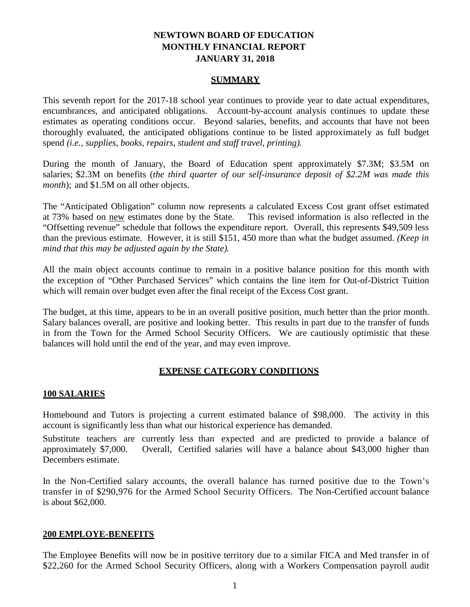# **NEWTOWN BOARD OF EDUCATION MONTHLY FINANCIAL REPORT JANUARY 31, 2018**

### **SUMMARY**

This seventh report for the 2017-18 school year continues to provide year to date actual expenditures, encumbrances, and anticipated obligations. Account-by-account analysis continues to update these estimates as operating conditions occur. Beyond salaries, benefits, and accounts that have not been thoroughly evaluated, the anticipated obligations continue to be listed approximately as full budget spend *(i.e., supplies, books, repairs, student and staff travel, printing).*

During the month of January, the Board of Education spent approximately \$7.3M; \$3.5M on salaries; \$2.3M on benefits (*the third quarter of our self-insurance deposit of \$2.2M was made this month*); and \$1.5M on all other objects.

The "Anticipated Obligation" column now represents a calculated Excess Cost grant offset estimated at 73% based on new estimates done by the State. This revised information is also reflected in the "Offsetting revenue" schedule that follows the expenditure report. Overall, this represents \$49,509 less than the previous estimate. However, it is still \$151, 450 more than what the budget assumed. *(Keep in mind that this may be adjusted again by the State).*

All the main object accounts continue to remain in a positive balance position for this month with the exception of "Other Purchased Services" which contains the line item for Out-of-District Tuition which will remain over budget even after the final receipt of the Excess Cost grant.

The budget, at this time, appears to be in an overall positive position, much better than the prior month. Salary balances overall, are positive and looking better. This results in part due to the transfer of funds in from the Town for the Armed School Security Officers. We are cautiously optimistic that these balances will hold until the end of the year, and may even improve.

# **EXPENSE CATEGORY CONDITIONS**

## **100 SALARIES**

Homebound and Tutors is projecting a current estimated balance of \$98,000. The activity in this account is significantly less than what our historical experience has demanded.

Substitute teachers are currently less than expected and are predicted to provide a balance of approximately \$7,000. Overall, Certified salaries will have a balance about \$43,000 higher than Decembers estimate.

In the Non-Certified salary accounts, the overall balance has turned positive due to the Town's transfer in of \$290,976 for the Armed School Security Officers. The Non-Certified account balance is about \$62,000.

## **200 EMPLOYE-BENEFITS**

The Employee Benefits will now be in positive territory due to a similar FICA and Med transfer in of \$22,260 for the Armed School Security Officers, along with a Workers Compensation payroll audit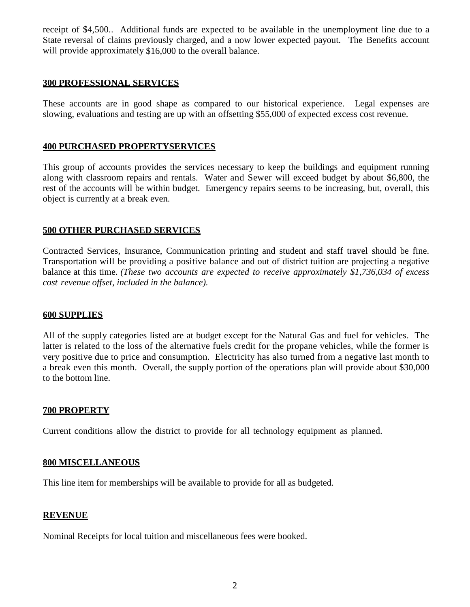receipt of \$4,500.. Additional funds are expected to be available in the unemployment line due to a State reversal of claims previously charged, and a now lower expected payout. The Benefits account will provide approximately \$16,000 to the overall balance.

## **300 PROFESSIONAL SERVICES**

These accounts are in good shape as compared to our historical experience. Legal expenses are slowing, evaluations and testing are up with an offsetting \$55,000 of expected excess cost revenue.

# **400 PURCHASED PROPERTYSERVICES**

This group of accounts provides the services necessary to keep the buildings and equipment running along with classroom repairs and rentals. Water and Sewer will exceed budget by about \$6,800, the rest of the accounts will be within budget. Emergency repairs seems to be increasing, but, overall, this object is currently at a break even.

# **500 OTHER PURCHASED SERVICES**

Contracted Services, Insurance, Communication printing and student and staff travel should be fine. Transportation will be providing a positive balance and out of district tuition are projecting a negative balance at this time. *(These two accounts are expected to receive approximately \$1,736,034 of excess cost revenue offset, included in the balance)*.

## **600 SUPPLIES**

All of the supply categories listed are at budget except for the Natural Gas and fuel for vehicles. The latter is related to the loss of the alternative fuels credit for the propane vehicles, while the former is very positive due to price and consumption. Electricity has also turned from a negative last month to a break even this month. Overall, the supply portion of the operations plan will provide about \$30,000 to the bottom line.

## **700 PROPERTY**

Current conditions allow the district to provide for all technology equipment as planned.

### **800 MISCELLANEOUS**

This line item for memberships will be available to provide for all as budgeted.

## **REVENUE**

Nominal Receipts for local tuition and miscellaneous fees were booked.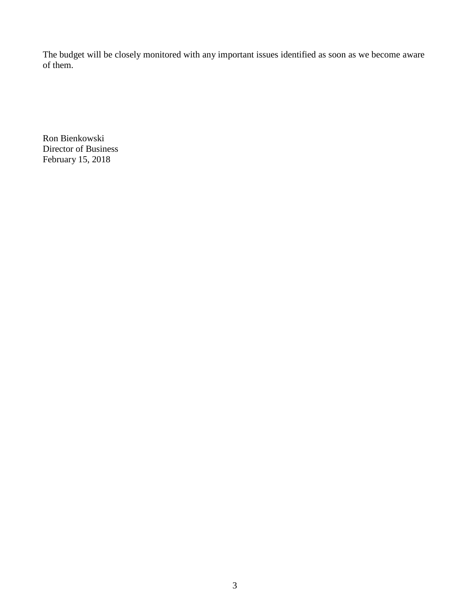The budget will be closely monitored with any important issues identified as soon as we become aware of them.

Ron Bienkowski Director of Business February 15, 2018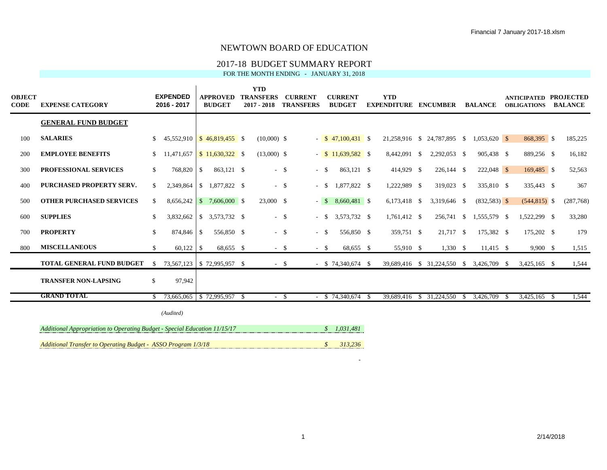### 2017-18 BUDGET SUMMARY REPORT

FOR THE MONTH ENDING - JANUARY 31, 2018

| <b>OBJECT</b><br><b>CODE</b> | <b>EXPENSE CATEGORY</b>                                                   |               | <b>EXPENDED</b><br>2016 - 2017  |               | <b>APPROVED</b><br><b>BUDGET</b>               | <b>YTD</b><br><b>TRANSFERS</b><br>$2017 - 2018$ | <b>CURRENT</b><br><b>TRANSFERS</b> |               | <b>CURRENT</b><br><b>BUDGET</b> | <b>YTD</b><br><b>EXPENDITURE ENCUMBER</b> |                                          |    | <b>BALANCE</b> |      | <b>ANTICIPATED PROJECTED</b><br><b>OBLIGATIONS</b> | <b>BALANCE</b> |
|------------------------------|---------------------------------------------------------------------------|---------------|---------------------------------|---------------|------------------------------------------------|-------------------------------------------------|------------------------------------|---------------|---------------------------------|-------------------------------------------|------------------------------------------|----|----------------|------|----------------------------------------------------|----------------|
|                              | <b>GENERAL FUND BUDGET</b>                                                |               |                                 |               |                                                |                                                 |                                    |               |                                 |                                           |                                          |    |                |      |                                                    |                |
| 100                          | <b>SALARIES</b>                                                           | S.            |                                 |               | $45,552,910$ \ \ \$ $46,819,455$ \ \ \$ \ \ \$ | $(10,000)$ \$                                   |                                    |               | $-$ \$ 47,100,431 \$            |                                           | 21,258,916 \$ 24,787,895 \$              |    | $1,053,620$ \$ |      | 868,395 \$                                         | 185,225        |
| 200                          | <b>EMPLOYEE BENEFITS</b>                                                  | \$            |                                 |               | $11,471,657$ \$ $11,630,322$ \$                | $(13,000)$ \$                                   |                                    |               | $-$ \$ 11,639,582 \$            | 8,442,091 \$                              | 2,292,053 \$                             |    | 905,438 \$     |      | 889,256 \$                                         | 16,182         |
| 300                          | PROFESSIONAL SERVICES                                                     | $\mathbb{S}$  | 768,820                         | $\mathcal{S}$ | 863,121 \$                                     |                                                 | $-$ \$                             | $-$ \$        | 863,121 \$                      | 414,929 \$                                | 226,144 \$                               |    | $222,048$ \$   |      | 169,485 \$                                         | 52,563         |
| 400                          | PURCHASED PROPERTY SERV.                                                  | \$            | 2,349,864                       |               | $$1,877,822$ \ \$                              |                                                 | $-$ \$                             | $-$ \$        | 1,877,822 \$                    | 1,222,989 \$                              | 319,023 \$                               |    | 335,810 \$     |      | 335,443 \$                                         | 367            |
| 500                          | <b>OTHER PURCHASED SERVICES</b>                                           | <sup>\$</sup> | $8,656,242$ \$                  |               | 7,606,000 \$                                   | 23,000 \$                                       |                                    | $-$ \$        | 8,660,481 \$                    | $6,173,418$ \$                            | 3,319,646 \$                             |    | $(832,583)$ \$ |      | $(544, 815)$ \$                                    | (287,768)      |
| 600                          | <b>SUPPLIES</b>                                                           | \$            |                                 |               | 3,832,662   \$ 3,573,732 \$                    |                                                 | $-$ \$                             | $-$ \$        | 3,573,732 \$                    | 1,761,412 \$                              | 256,741 \$                               |    | 1,555,579 \$   |      | 1,522,299 \$                                       | 33,280         |
| 700                          | <b>PROPERTY</b>                                                           | \$            | 874,846                         | \$            | 556,850 \$                                     |                                                 | $-$ \$                             | $-$ \$        | 556,850 \$                      | 359,751 \$                                | 21,717 \$                                |    | 175,382 \$     |      | 175,202 \$                                         | 179            |
| 800                          | <b>MISCELLANEOUS</b>                                                      | \$            | $60,122$ \$                     |               | 68,655 \$                                      |                                                 | $-$ \$                             | $-$ \$        | 68,655 \$                       | 55,910 \$                                 | $1,330$ \$                               |    | $11,415$ \$    |      | 9,900 S                                            | 1,515          |
|                              | <b>TOTAL GENERAL FUND BUDGET</b>                                          | -S            |                                 |               | 73,567,123   \$72,995,957 \$                   |                                                 | $-$ \$                             |               | $-$ \$ 74,340,674 \$            |                                           | 39,689,416 \$ 31,224,550 \$ 3,426,709 \$ |    |                |      | 3,425,165 \$                                       | 1,544          |
|                              | <b>TRANSFER NON-LAPSING</b>                                               | \$            | 97,942                          |               |                                                |                                                 |                                    |               |                                 |                                           |                                          |    |                |      |                                                    |                |
|                              | <b>GRAND TOTAL</b>                                                        |               | $$73,665,065$ $$72,995,957$ $$$ |               |                                                |                                                 | $- S$                              |               | $-$ \$ 74,340,674 \$            | 39,689,416                                | \$31,224,550                             | -S | 3,426,709      | - \$ | 3,425,165 \$                                       | 1,544          |
|                              |                                                                           |               | (Audited)                       |               |                                                |                                                 |                                    |               |                                 |                                           |                                          |    |                |      |                                                    |                |
|                              | Additional Appropriation to Operating Budget - Special Education 11/15/17 |               |                                 |               |                                                |                                                 |                                    |               | \$1,031,481                     |                                           |                                          |    |                |      |                                                    |                |
|                              | <b>Additional Transfer to Operating Budget - ASSO Program 1/3/18</b>      |               |                                 |               |                                                |                                                 |                                    | $\mathcal{S}$ | 313,236                         |                                           |                                          |    |                |      |                                                    |                |

- 1990 - 1990 - 1990 - 1990 - 1990 - 1990 - 1990 - 1990 - 1990 - 1990 - 1990 - 1990 - 1990 - 1990 - 1990 - 199<br>1991 - 1991 - 1991 - 1991 - 1991 - 1991 - 1991 - 1991 - 1991 - 1991 - 1991 - 1991 - 1991 - 1991 - 1991 - 1991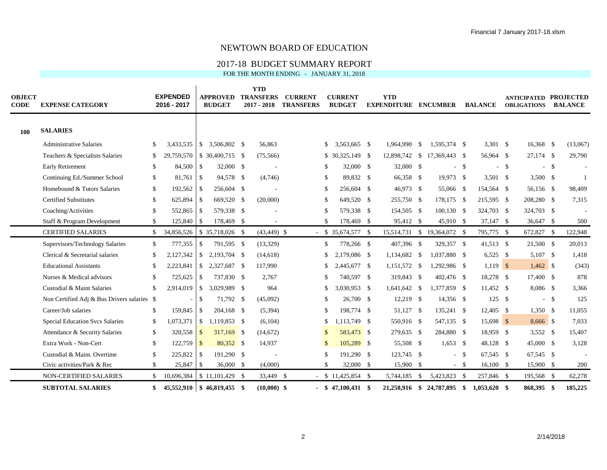#### 2017-18 BUDGET SUMMARY REPORT

| <b>OBJECT</b><br><b>CODE</b> | <b>EXPENSE CATEGORY</b>                     |               | <b>EXPENDED</b><br>2016 - 2017 |               | <b>APPROVED</b><br><b>BUDGET</b> | <b>YTD</b><br><b>TRANSFERS</b><br>$2017 - 2018$ | <b>CURRENT</b><br><b>TRANSFERS</b> |     | <b>CURRENT</b><br><b>BUDGET</b> | <b>YTD</b><br><b>EXPENDITURE</b> |      | <b>ENCUMBER</b>             |        | <b>BALANCE</b> |        | <b>ANTICIPATED</b><br><b>OBLIGATIONS</b> |        | <b>PROJECTED</b><br><b>BALANCE</b> |
|------------------------------|---------------------------------------------|---------------|--------------------------------|---------------|----------------------------------|-------------------------------------------------|------------------------------------|-----|---------------------------------|----------------------------------|------|-----------------------------|--------|----------------|--------|------------------------------------------|--------|------------------------------------|
| 100                          | <b>SALARIES</b>                             |               |                                |               |                                  |                                                 |                                    |     |                                 |                                  |      |                             |        |                |        |                                          |        |                                    |
|                              | <b>Administrative Salaries</b>              | -S            | 3,433,535                      |               | $$3,506,802$ \ \$                | 56,863                                          |                                    | S.  | 3,563,665 \$                    | 1,964,990 \$                     |      | 1,595,374 \$                |        | 3,301 \$       |        | $16,368$ \$                              |        | (13,067)                           |
|                              | Teachers & Specialists Salaries             | \$            | 29,759,570                     |               | \$ 30,400,715 \$                 | (75, 566)                                       |                                    |     | $$30,325,149$ \\$               |                                  |      | 12,898,742 \$ 17,369,443 \$ |        | 56,964 \$      |        | 27,174 \$                                |        | 29,790                             |
|                              | Early Retirement                            | <sup>\$</sup> | 84,500                         | $\mathbb{S}$  | 32,000 \$                        |                                                 |                                    |     | 32,000 \$                       | 32,000 \$                        |      |                             | $-$ \$ |                | $-$ \$ |                                          | $-$ \$ |                                    |
|                              | Continuing Ed./Summer School                | \$            |                                |               | 94,578 \$                        | (4,746)                                         |                                    | \$. | 89,832 \$                       | 66,358 \$                        |      | 19,973 \$                   |        | $3,501$ \$     |        | $3,500$ \$                               |        | $\overline{1}$                     |
|                              | Homebound & Tutors Salaries                 | \$            | 192,562                        | $\sqrt{3}$    | 256,604 \$                       |                                                 |                                    |     | 256,604 \$                      | 46,973 \$                        |      | 55,066 \$                   |        | 154,564 \$     |        | 56,156 \$                                |        | 98,409                             |
|                              | <b>Certified Substitutes</b>                | <sup>\$</sup> | $625,894$ \\$                  |               | 669,520 \$                       | (20,000)                                        |                                    | \$. | 649,520 \$                      | 255,750 \$                       |      | 178,175 \$                  |        | 215,595 \$     |        | 208,280 \$                               |        | 7,315                              |
|                              | Coaching/Activities                         | <sup>\$</sup> | 552,865                        | -\$           | 579,338 \$                       |                                                 |                                    |     | 579,338 \$                      | 154,505 \$                       |      | $100, 130$ \$               |        | 324,703 \$     |        | 324,703 \$                               |        |                                    |
|                              | Staff & Program Development                 | \$            | $125,840$ \$                   |               | 178,469 \$                       |                                                 |                                    |     | 178,469 \$                      | 95,412 \$                        |      | 45,910 \$                   |        | 37,147 \$      |        | 36,647 \$                                |        | 500                                |
|                              | <b>CERTIFIED SALARIES</b>                   | \$            | 34,856,526                     |               | \$35,718,026 \$                  | $(43, 449)$ \$                                  |                                    |     | $-$ \$ 35,674,577 \$            |                                  |      | 15,514,731 \$ 19,364,072 \$ |        | 795,775 \$     |        | 672,827 \$                               |        | 122,948                            |
|                              | Supervisors/Technology Salaries             | $\mathbb{S}$  | 777,355                        | $\mathbb{S}$  | 791,595 \$                       | (13, 329)                                       |                                    | \$  | 778,266 \$                      | 407,396 \$                       |      | 329,357 \$                  |        | $41,513$ \$    |        | 21,500 \$                                |        | 20,013                             |
|                              | Clerical & Secretarial salaries             | \$            | 2,127,342                      |               | $$2,193,704$ \\$                 | (14, 618)                                       |                                    |     | 2,179,086 \$                    | 1,134,682 \$                     |      | 1,037,880 \$                |        | $6,525$ \$     |        | 5,107 \$                                 |        | 1,418                              |
|                              | <b>Educational Assistants</b>               | -S            | 2,223,841                      | $\mathbb{S}$  | 2,327,687 \$                     | 117,990                                         |                                    |     | 2,445,677 \$                    | 1,151,572 \$                     |      | 1,292,986 \$                |        | $1,119$ \$     |        | $1,462$ \$                               |        | (343)                              |
|                              | Nurses & Medical advisors                   | <sup>\$</sup> | 725,625                        | \$            | 737,830 \$                       | 2,767                                           |                                    |     | 740,597 \$                      | 319,843 \$                       |      | 402,476 \$                  |        | 18,278 \$      |        | 17,400 \$                                |        | 878                                |
|                              | Custodial & Maint Salaries                  | <sup>\$</sup> | 2,914,019                      | $\mathbb{S}$  | 3,029,989 \$                     | 964                                             |                                    |     | 3,030,953 \$                    | 1,641,642 \$                     |      | 1,377,859 \$                |        | 11,452 \$      |        | 8,086 \$                                 |        | 3,366                              |
|                              | Non Certified Adj & Bus Drivers salaries \$ |               |                                | $\mathbb{S}$  | 71,792 \$                        | (45,092)                                        |                                    | \$. | $26,700$ \$                     | $12,219$ \$                      |      | 14,356 \$                   |        | 125S           |        |                                          | $- S$  | 125                                |
|                              | Career/Job salaries                         | <sup>\$</sup> | 159,845 \$                     |               | 204,168 \$                       | (5,394)                                         |                                    | \$. | 198,774 \$                      | 51,127 \$                        |      | 135,241 \$                  |        | $12,405$ \$    |        | $1,350$ \$                               |        | 11,055                             |
|                              | Special Education Svcs Salaries             | \$            | $1,073,371$ \$                 |               | 1,119,853 \$                     | (6,104)                                         |                                    |     | 1,113,749 \$                    | 550,916 \$                       |      | 547,135 \$                  |        | 15,698 \$      |        | $8,666$ \$                               |        | 7,033                              |
|                              | Attendance & Security Salaries              | \$            | 320,558                        | $\mathcal{S}$ | $317,169$ \$                     | (14,672)                                        |                                    |     | 583,473 \$                      | 279,635 \$                       |      | 284,880 \$                  |        | 18,959 \$      |        | $3,552$ \$                               |        | 15,407                             |
|                              | Extra Work - Non-Cert                       | \$            | $122,759$ \$                   |               | 80,352 \$                        | 14,937                                          |                                    |     | 105,289 \$                      | 55,508 \$                        |      | $1,653$ \$                  |        | 48,128 \$      |        | 45,000 \$                                |        | 3,128                              |
|                              | Custodial & Maint. Overtime                 | <sup>\$</sup> | 225,822                        | $\sqrt{3}$    | 191,290 \$                       |                                                 |                                    |     | 191,290 \$                      | 123,745 \$                       |      | ÷.                          | - \$   | 67,545 \$      |        | 67,545 \$                                |        |                                    |
|                              | Civic activities/Park & Rec                 | \$            | 25,847                         | -S            | $36,000$ \$                      | (4,000)                                         |                                    | \$  | 32,000 \$                       | 15,900 \$                        |      |                             | $-$ \$ | $16,100$ \$    |        | 15,900 \$                                |        | 200                                |
|                              | <b>NON-CERTIFIED SALARIES</b>               | <sup>\$</sup> | 10,696,384                     |               | $$11,101,429$ \ \$               | 33,449 \$                                       |                                    |     | $-$ \$ 11,425,854 \$            | 5,744,185                        | - \$ | 5,423,823 \$                |        | 257,846 \$     |        | 195,568 \$                               |        | 62,278                             |
|                              | <b>SUBTOTAL SALARIES</b>                    | \$            | 45,552,910                     |               | $$46,819,455$ \,                 | $(10,000)$ \$                                   |                                    |     | $-$ \$ 47,100,431 \$            | 21,258,916 \$                    |      | 24,787,895 \$               |        | $1.053.620$ \$ |        | 868.395 \$                               |        | 185,225                            |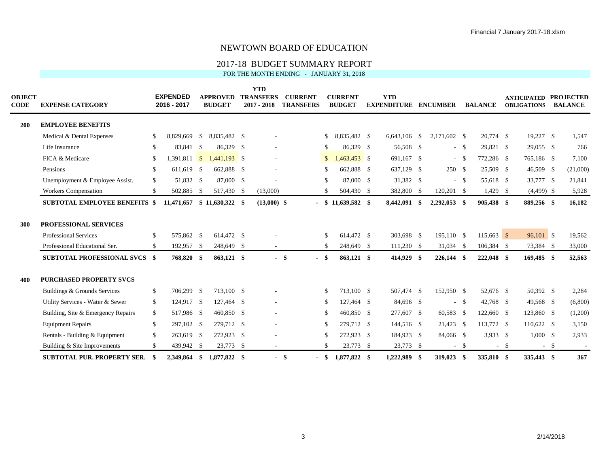#### 2017-18 BUDGET SUMMARY REPORT

| OBJECT<br>CODE | <b>EXPENSE CATEGORY</b>                                                                                                        |                                | <b>EXPENDED</b><br>2016 - 2017 |                                          | <b>APPROVED</b><br><b>BUDGET</b>       | <b>YTD</b><br><b>TRANSFERS</b><br>$2017 - 2018$ | <b>CURRENT</b><br><b>TRANSFERS</b> |                                        | <b>CURRENT</b><br><b>BUDGET</b>     |    | <b>YTD</b><br><b>EXPENDITURE</b>       | <b>ENCUMBER</b>                         |        | <b>BALANCE</b>                           |    | <b>ANTICIPATED</b><br><b>OBLIGATIONS</b> |       | <b>PROJECTED</b><br><b>BALANCE</b> |
|----------------|--------------------------------------------------------------------------------------------------------------------------------|--------------------------------|--------------------------------|------------------------------------------|----------------------------------------|-------------------------------------------------|------------------------------------|----------------------------------------|-------------------------------------|----|----------------------------------------|-----------------------------------------|--------|------------------------------------------|----|------------------------------------------|-------|------------------------------------|
| 200            | <b>EMPLOYEE BENEFITS</b>                                                                                                       |                                |                                |                                          |                                        |                                                 |                                    |                                        |                                     |    |                                        |                                         |        |                                          |    |                                          |       |                                    |
|                | Medical & Dental Expenses                                                                                                      | S.                             | 8,829,669                      | <sup>S</sup>                             | 8.835.482 \$                           |                                                 |                                    | <sup>\$</sup>                          | 8.835.482 \$                        |    | $6,643,106$ \$                         | 2.171.602 \$                            |        | 20,774 \$                                |    | 19,227 \$                                |       | 1,547                              |
|                | Life Insurance                                                                                                                 | S.                             | 83,841                         | <sup>\$</sup>                            | 86,329 \$                              |                                                 |                                    | \$                                     | 86,329 \$                           |    | 56,508 \$                              |                                         | $- S$  | 29,821 \$                                |    | 29,055 \$                                |       | 766                                |
|                | FICA & Medicare                                                                                                                | <sup>\$</sup>                  | 1,391,811                      | $\mathbb{S}$                             | $1,441,193$ \$                         |                                                 |                                    | $\mathbb{S}$                           | $1,463,453$ \$                      |    | 691,167 \$                             |                                         | $- S$  | 772,286 \$                               |    | 765,186 \$                               |       | 7,100                              |
|                | Pensions                                                                                                                       | \$                             | 611,619                        | $\vert$ s                                | 662,888 \$                             |                                                 |                                    | <sup>\$</sup>                          | 662,888 \$                          |    | 637,129 \$                             | 250 \$                                  |        | 25,509 \$                                |    | 46,509 \$                                |       | (21,000)                           |
|                | Unemployment & Employee Assist.                                                                                                | \$                             | 51,832                         | $\overline{\phantom{a}}$                 | 87,000 \$                              |                                                 |                                    | <sup>\$</sup>                          | 87,000 \$                           |    | 31,382 \$                              |                                         | $- S$  | 55,618 \$                                |    | 33,777 \$                                |       | 21,841                             |
|                | Workers Compensation                                                                                                           | \$                             | 502,885                        | $\overline{1}$                           | 517,430 \$                             | (13,000)                                        |                                    | $\mathcal{S}$                          | 504,430 \$                          |    | 382,800 \$                             | $120,201$ \$                            |        | $1,429$ \$                               |    | $(4,499)$ \$                             |       | 5,928                              |
|                | <b>SUBTOTAL EMPLOYEE BENEFITS \$</b>                                                                                           |                                | 11,471,657                     |                                          | $$11,630,322$ \$                       | $(13,000)$ \$                                   |                                    |                                        | $$11,639,582$ \$                    |    | 8,442,091 \$                           | 2,292,053 \$                            |        | 905,438 \$                               |    | 889,256 \$                               |       | 16,182                             |
| 300            | <b>PROFESSIONAL SERVICES</b><br>Professional Services<br>Professional Educational Ser.<br><b>SUBTOTAL PROFESSIONAL SVCS \$</b> | <sup>\$</sup><br><sup>\$</sup> | 575,862<br>192,957<br>768,820  | $\overline{1}$<br>$\overline{1}$<br>- \$ | 614,472 \$<br>248,649 \$<br>863,121 \$ |                                                 | $-$ \$                             | <sup>\$</sup><br><sup>\$</sup><br>- \$ | 614,472 \$<br>248,649<br>863,121 \$ | -S | 303,698 \$<br>111,230 \$<br>414,929 \$ | 195,110 \$<br>31,034 \$<br>$226,144$ \$ |        | $115,663$ \$<br>106,384 \$<br>222,048 \$ |    | 96,101 \$<br>73,384 \$<br>169,485 \$     |       | 19,562<br>33,000<br>52,563         |
| 400            | <b>PURCHASED PROPERTY SVCS</b>                                                                                                 |                                |                                |                                          |                                        |                                                 |                                    |                                        |                                     |    |                                        |                                         |        |                                          |    |                                          |       |                                    |
|                | Buildings & Grounds Services                                                                                                   | \$                             | 706,299 \$                     |                                          | 713,100 \$                             |                                                 |                                    | <sup>\$</sup>                          | 713,100 \$                          |    | 507,474 \$                             | 152,950 \$                              |        | 52,676 \$                                |    | 50,392 \$                                |       | 2,284                              |
|                | Utility Services - Water & Sewer                                                                                               | \$                             | 124,917 \$                     |                                          | 127,464 \$                             |                                                 |                                    | <sup>\$</sup>                          | 127,464 \$                          |    | 84,696 \$                              |                                         | $-$ \$ | 42,768 \$                                |    | 49,568 \$                                |       | (6,800)                            |
|                | Building, Site & Emergency Repairs                                                                                             | \$                             | 517,986 \$                     |                                          | 460,850 \$                             |                                                 |                                    | <sup>\$</sup>                          | 460,850 \$                          |    | 277,607 \$                             | 60,583 \$                               |        | 122,660 \$                               |    | 123,860 \$                               |       | (1,200)                            |
|                | <b>Equipment Repairs</b>                                                                                                       | \$                             | $297,102$ \$                   |                                          | 279.712 \$                             |                                                 |                                    | S                                      | 279.712 \$                          |    | 144,516 \$                             | 21,423 \$                               |        | 113,772 \$                               |    | 110,622 \$                               |       | 3,150                              |
|                | Rentals - Building & Equipment                                                                                                 | <sup>\$</sup>                  | $263,619$ \$                   |                                          | 272,923 \$                             |                                                 |                                    | <sup>\$</sup>                          | 272,923 \$                          |    | 184,923 \$                             | 84,066 \$                               |        | $3,933$ \$                               |    | $1,000$ \$                               |       | 2,933                              |
|                | Building & Site Improvements                                                                                                   | \$                             | $439,942$ \$                   |                                          | 23,773 \$                              |                                                 |                                    | $\mathcal{S}$                          | 23,773 \$                           |    | 23,773 \$                              | $\sim$                                  | - \$   | $\sim$                                   | -S |                                          | $- S$ |                                    |
|                | <b>SUBTOTAL PUR. PROPERTY SER.</b>                                                                                             |                                | 2.349.864                      | $\blacksquare$                           | 1.877.822 \$                           | $\sim$                                          | -\$                                | - \$                                   | 1,877,822                           |    | 1,222,989                              | 319,023                                 | - \$   | 335,810 \$                               |    | 335,443 \$                               |       | 367                                |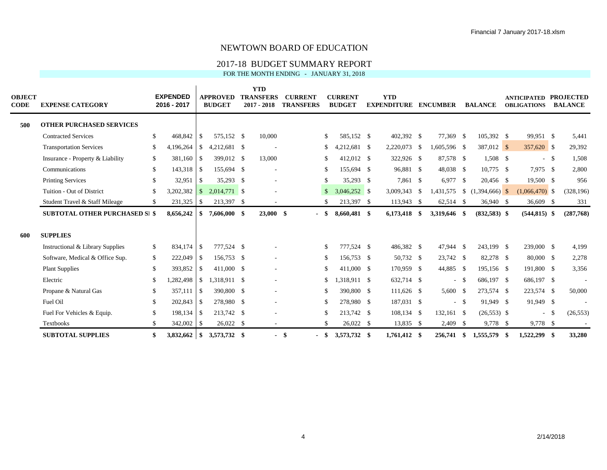### 2017-18 BUDGET SUMMARY REPORT

| OBJECT<br>CODE | <b>EXPENSE CATEGORY</b>               |               | <b>EXPENDED</b><br>2016 - 2017 |                          | <b>APPROVED</b><br><b>BUDGET</b> | <b>YTD</b><br><b>TRANSFERS</b><br>$2017 - 2018$ | <b>CURRENT</b><br><b>TRANSFERS</b> |               | <b>CURRENT</b><br><b>BUDGET</b> | <b>YTD</b><br><b>EXPENDITURE ENCUMBER</b> |              |      | <b>BALANCE</b>                  |      | <b>ANTICIPATED</b><br><b>OBLIGATIONS</b> |        | <b>PROJECTED</b><br><b>BALANCE</b> |
|----------------|---------------------------------------|---------------|--------------------------------|--------------------------|----------------------------------|-------------------------------------------------|------------------------------------|---------------|---------------------------------|-------------------------------------------|--------------|------|---------------------------------|------|------------------------------------------|--------|------------------------------------|
| 500            | <b>OTHER PURCHASED SERVICES</b>       |               |                                |                          |                                  |                                                 |                                    |               |                                 |                                           |              |      |                                 |      |                                          |        |                                    |
|                | <b>Contracted Services</b>            | \$            | 468,842                        | $\overline{1}$           | 575,152 \$                       | 10,000                                          |                                    | -S            | 585,152 \$                      | 402,392 \$                                | 77,369 \$    |      | 105,392 \$                      |      | 99,951 \$                                |        | 5,441                              |
|                | <b>Transportation Services</b>        | \$            | 4,196,264                      | \$                       | 4,212,681 \$                     |                                                 |                                    | \$            | 4,212,681 \$                    | 2,220,073 \$                              | 1,605,596 \$ |      | $387,012$ \$                    |      | 357,620 \$                               |        | 29,392                             |
|                | Insurance - Property & Liability      | \$            | 381,160                        | $\overline{1}$           | 399,012 \$                       | 13,000                                          |                                    | -S            | 412,012 \$                      | 322,926 \$                                | 87,578 \$    |      | $1,508$ \$                      |      |                                          | $-$ \$ | 1,508                              |
|                | Communications                        | \$            | 143,318                        | $\overline{1}$           | 155,694 \$                       |                                                 |                                    | S             | 155,694 \$                      | 96,881 \$                                 | 48,038 \$    |      | 10,775 \$                       |      | 7,975 \$                                 |        | 2,800                              |
|                | <b>Printing Services</b>              | \$            | 32,951                         | l \$                     | $35,293$ \$                      |                                                 |                                    | -S            | 35,293 \$                       | 7,861 \$                                  | $6,977$ \$   |      | 20,456 \$                       |      | 19,500 \$                                |        | 956                                |
|                | Tuition - Out of District             | <sup>\$</sup> | 3,202,382                      | $\overline{\phantom{a}}$ | 2,014,771 \$                     |                                                 |                                    |               | 3,046,252 \$                    | 3,009,343 \$                              |              |      | $1,431,575$ \$ $(1,394,666)$ \$ |      | $(1,066,470)$ \$                         |        | (328, 196)                         |
|                | Student Travel & Staff Mileage        | S.            | 231,325                        | $\overline{1}$           | 213,397 \$                       |                                                 |                                    | \$.           | 213,397 \$                      | 113,943 \$                                | 62,514 \$    |      | 36,940 \$                       |      | 36,609 \$                                |        | 331                                |
|                | <b>SUBTOTAL OTHER PURCHASED SI \$</b> |               | 8,656,242                      | $\overline{\phantom{a}}$ | 7.606.000 \$                     | 23,000 \$                                       |                                    |               | 8,660,481 \$                    | 6,173,418 \$                              | 3,319,646 \$ |      | $(832,583)$ \$                  |      | $(544, 815)$ \$                          |        | (287,768)                          |
| 600            | <b>SUPPLIES</b>                       |               |                                |                          |                                  |                                                 |                                    |               |                                 |                                           |              |      |                                 |      |                                          |        |                                    |
|                | Instructional & Library Supplies      | \$            | 834,174                        | $\overline{1}$           | 777,524 \$                       |                                                 |                                    | \$            | 777,524 \$                      | 486,382 \$                                | 47,944       | - \$ | 243,199 \$                      |      | 239,000 \$                               |        | 4,199                              |
|                | Software, Medical & Office Sup.       | \$            | 222,049                        | $\overline{1}$           | 156,753 \$                       |                                                 |                                    | \$            | 156,753 \$                      | 50,732 \$                                 | 23,742 \$    |      | 82,278 \$                       |      | 80,000 \$                                |        | 2,278                              |
|                | <b>Plant Supplies</b>                 | \$            | 393,852                        | $\overline{\phantom{a}}$ | 411,000 \$                       |                                                 |                                    | \$            | 411,000 \$                      | 170,959 \$                                | 44,885 \$    |      | 195,156 \$                      |      | 191,800 \$                               |        | 3,356                              |
|                | Electric                              | -S            | 1,282,498                      | $\sqrt{S}$               | 1,318,911 \$                     |                                                 |                                    | S             | 1,318,911 \$                    | 632,714 \$                                | $\sim$       | -S   | 686,197 \$                      |      | 686,197 \$                               |        |                                    |
|                | Propane & Natural Gas                 | \$            | 357,111                        | $\overline{1}$           | 390,800 \$                       |                                                 |                                    | <sup>\$</sup> | 390,800 \$                      | 111,626 \$                                | 5,600 \$     |      | 273,574 \$                      |      | 223,574 \$                               |        | 50,000                             |
|                | Fuel Oil                              | <sup>\$</sup> | 202,843                        | $\overline{\phantom{a}}$ | 278,980 \$                       |                                                 |                                    | S             | 278,980 \$                      | 187,031 \$                                | $\sim$       | - \$ | 91,949 \$                       |      | 91,949 \$                                |        |                                    |
|                | Fuel For Vehicles & Equip.            | <sup>\$</sup> | 198,134                        | $\overline{\phantom{a}}$ | 213,742 \$                       |                                                 |                                    | -S            | 213,742 \$                      | 108,134 \$                                | 132,161 \$   |      | $(26,553)$ \$                   |      |                                          | $-$ \$ | (26, 553)                          |
|                | Textbooks                             | S.            |                                |                          | $26,022$ \$                      | $\overline{\phantom{a}}$                        |                                    | $\mathcal{S}$ | $26,022$ \$                     | 13,835 \$                                 | 2,409 \$     |      | $9,778$ \$                      |      | 9,778 \$                                 |        | $\overline{\phantom{a}}$           |
|                | <b>SUBTOTAL SUPPLIES</b>              |               | 3,832,662                      | $\blacksquare$           | 3,573,732 \$                     |                                                 | -\$                                | S.            | 3,573,732 \$                    | 1.761.412 \$                              | 256,741      | S.   | 1,555,579                       | - \$ | 1.522.299 \$                             |        | 33,280                             |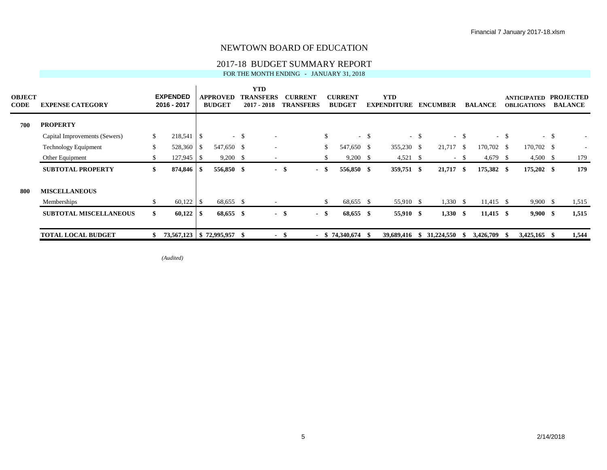### 2017-18 BUDGET SUMMARY REPORT

FOR THE MONTH ENDING - JANUARY 31, 2018

| <b>OBJECT</b><br><b>CODE</b> | <b>EXPENSE CATEGORY</b>       |     | <b>EXPENDED</b><br>2016 - 2017 | APPROVED<br><b>BUDGET</b> |        | <b>YTD</b><br>TRANSFERS<br>2017 - 2018 |      | <b>CURRENT</b><br><b>TRANSFERS</b> |    | <b>CURRENT</b><br><b>BUDGET</b> |        | <b>YTD</b><br><b>EXPENDITURE</b> |        | <b>ENCUMBER</b> |              | <b>BALANCE</b> |        | <b>ANTICIPATED</b><br><b>OBLIGATIONS</b> |        | <b>PROJECTED</b><br><b>BALANCE</b> |
|------------------------------|-------------------------------|-----|--------------------------------|---------------------------|--------|----------------------------------------|------|------------------------------------|----|---------------------------------|--------|----------------------------------|--------|-----------------|--------------|----------------|--------|------------------------------------------|--------|------------------------------------|
| 700                          | <b>PROPERTY</b>               |     |                                |                           |        |                                        |      |                                    |    |                                 |        |                                  |        |                 |              |                |        |                                          |        |                                    |
|                              | Capital Improvements (Sewers) | \$  |                                |                           | $-$ \$ |                                        |      |                                    | \$ |                                 | $-$ \$ |                                  | $-$ \$ |                 | $-$ \$       |                | $-$ \$ |                                          | $-$ \$ | $\overline{\phantom{a}}$           |
|                              | <b>Technology Equipment</b>   | \$  | 528,360 \$                     | 547,650 \$                |        |                                        |      |                                    | \$ | 547,650 \$                      |        | 355,230 \$                       |        | 21,717          | <sup>S</sup> | 170,702 \$     |        | 170,702 \$                               |        |                                    |
|                              | Other Equipment               | \$  |                                | $9,200$ \$                |        | $\overline{\phantom{a}}$               |      |                                    | \$ | $9,200$ \$                      |        | $4,521$ \$                       |        |                 | $-$ \$       | 4,679 \$       |        | $4,500$ \$                               |        | 179                                |
|                              | <b>SUBTOTAL PROPERTY</b>      | \$  |                                | 556,850 \$                |        |                                        | - \$ | $\overline{\phantom{0}}$           | -S | 556,850 \$                      |        | 359,751 \$                       |        | 21,717          | - \$         | 175,382 \$     |        | $175,202$ \$                             |        | 179                                |
| 800                          | <b>MISCELLANEOUS</b>          |     |                                |                           |        |                                        |      |                                    |    |                                 |        |                                  |        |                 |              |                |        |                                          |        |                                    |
|                              | Memberships                   | \$. |                                | 68,655 \$                 |        | $\overline{\phantom{a}}$               |      |                                    | \$ | 68,655 \$                       |        | 55,910 \$                        |        | 1,330           | - \$         | $11,415$ \$    |        | $9,900$ \$                               |        | 1,515                              |
|                              | <b>SUBTOTAL MISCELLANEOUS</b> | \$  | $60,122$ \$                    | $68,655$ \$               |        |                                        | - \$ | - \$                               |    | $68,655$ \$                     |        | 55,910 \$                        |        | 1,330           | - \$         | $11,415$ \$    |        | 9,900 S                                  |        | 1,515                              |
|                              | <b>TOTAL LOCAL BUDGET</b>     | £.  | 73,567,123   \$72,995,957 \$   |                           |        |                                        | - \$ |                                    |    | $-$ \$ 74,340,674 \$            |        | 39,689,416 \$                    |        | 31,224,550      | -SS-         | 3,426,709 \$   |        | $3,425,165$ \$                           |        | 1,544                              |

*(Audited)*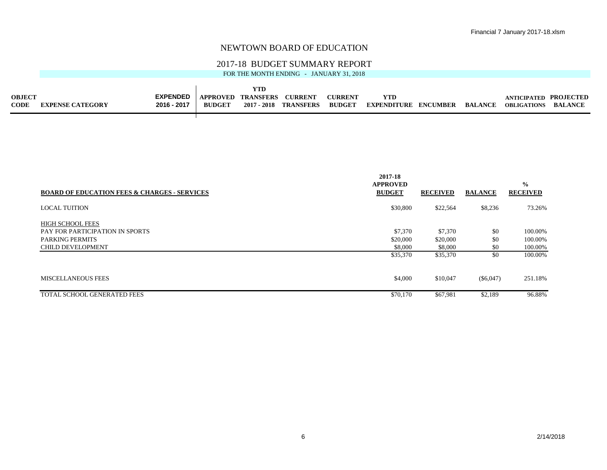#### 2017-18 BUDGET SUMMARY REPORT

|             |                         |                 |                 | YTD         |                  |                |             |          |                |                       |                |
|-------------|-------------------------|-----------------|-----------------|-------------|------------------|----------------|-------------|----------|----------------|-----------------------|----------------|
| OBJECT      |                         | <b>EXPENDED</b> | <b>APPROVED</b> | TRANSFERS   | <b>CURRENT</b>   | <b>CURRENT</b> | YTD         |          |                | ANTICIPATED PROJECTED |                |
| <b>CODE</b> | <b>EXPENSE CATEGORY</b> | 2016 - 2017     | <b>BUDGET</b>   | 2017 - 2018 | <b>TRANSFERS</b> | <b>BUDGET</b>  | EXPENDITURE | ENCUMBER | <b>BALANCE</b> | <b>OBLIGATIONS</b>    | <b>BALANCE</b> |
|             |                         |                 |                 |             |                  |                |             |          |                |                       |                |

|                                                         | 2017-18<br><b>APPROVED</b> |                 |                | $\frac{0}{0}$   |
|---------------------------------------------------------|----------------------------|-----------------|----------------|-----------------|
| <b>BOARD OF EDUCATION FEES &amp; CHARGES - SERVICES</b> | <b>BUDGET</b>              | <b>RECEIVED</b> | <b>BALANCE</b> | <b>RECEIVED</b> |
| <b>LOCAL TUITION</b>                                    | \$30,800                   | \$22,564        | \$8,236        | 73.26%          |
| <b>HIGH SCHOOL FEES</b>                                 |                            |                 |                |                 |
| PAY FOR PARTICIPATION IN SPORTS                         | \$7,370                    | \$7,370         | \$0            | 100.00%         |
| <b>PARKING PERMITS</b>                                  | \$20,000                   | \$20,000        | \$0            | 100.00%         |
| <b>CHILD DEVELOPMENT</b>                                | \$8,000                    | \$8,000         | \$0            | 100.00%         |
|                                                         | \$35,370                   | \$35,370        | \$0            | 100.00%         |
| <b>MISCELLANEOUS FEES</b>                               | \$4,000                    | \$10,047        | $(\$6,047)$    | 251.18%         |
| TOTAL SCHOOL GENERATED FEES                             | \$70,170                   | \$67,981        | \$2,189        | 96.88%          |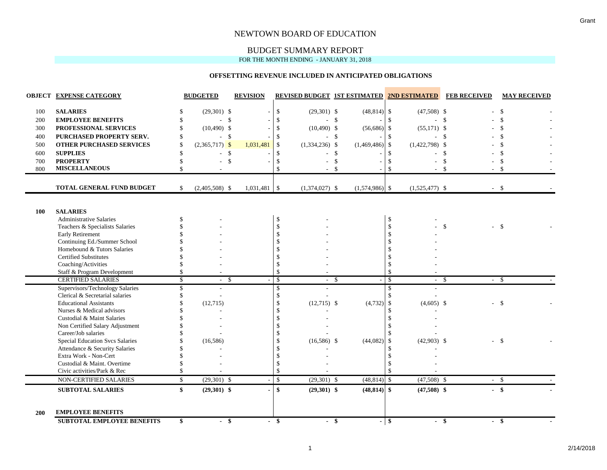## BUDGET SUMMARY REPORT

FOR THE MONTH ENDING - JANUARY 31, 2018

#### **OFFSETTING REVENUE INCLUDED IN ANTICIPATED OBLIGATIONS**

|            | <b>OBJECT EXPENSE CATEGORY</b>                                |                    | <b>BUDGETED</b>  | <b>REVISION</b> |                         | <b>REVISED BUDGET 1ST ESTIMATED 2ND ESTIMATED FEB RECEIVED</b> |               |                  |                                |                  |               | <b>MAY RECEIVED</b> |
|------------|---------------------------------------------------------------|--------------------|------------------|-----------------|-------------------------|----------------------------------------------------------------|---------------|------------------|--------------------------------|------------------|---------------|---------------------|
| 100        | <b>SALARIES</b>                                               | S.                 | $(29,301)$ \$    |                 | \$                      | $(29,301)$ \$                                                  |               | $(48, 814)$ \$   |                                | $(47,508)$ \$    |               | $\mathcal{S}$       |
| 200        | <b>EMPLOYEE BENEFITS</b>                                      | \$                 | $-5$             |                 | \$                      | $-$ \$                                                         |               |                  | -\$                            | $-$ \$           |               | $\mathcal{S}$       |
| 300        | PROFESSIONAL SERVICES                                         | $\mathcal{S}$      | $(10, 490)$ \$   |                 | $\mathbf{\$}$           | $(10,490)$ \$                                                  |               | (56,686)         | -\$                            | $(55,171)$ \$    |               |                     |
| 400        | PURCHASED PROPERTY SERV.                                      | \$                 | $\sim$           | - \$            | $\mathbf{\$}$           | ÷.                                                             | - \$          |                  | $\mathcal{S}$                  |                  | - \$          |                     |
| 500        | <b>OTHER PURCHASED SERVICES</b>                               | $\mathcal{S}$      | $(2,365,717)$ \$ | 1,031,481       | \$                      | $(1,334,236)$ \$                                               |               | (1,469,486)      | $\mathbb{S}$                   | $(1,422,798)$ \$ |               |                     |
| 600        | <b>SUPPLIES</b>                                               | <sup>\$</sup>      | $-$ \$           |                 | \$                      |                                                                | - \$          |                  | -\$                            |                  | \$            |                     |
| 700        | <b>PROPERTY</b>                                               | \$.                |                  | \$              | $\mathbf{\$}$           |                                                                | $\mathcal{S}$ |                  | $\mathcal{S}$                  |                  | $\mathbf{s}$  |                     |
| 800        | <b>MISCELLANEOUS</b>                                          | $\mathbf{\hat{S}}$ |                  |                 | \$                      | $\sim$                                                         | $\mathcal{S}$ |                  | $\mathcal{S}$                  |                  | \$            | $\mathcal{S}$       |
|            | <b>TOTAL GENERAL FUND BUDGET</b>                              | \$                 | $(2,405,508)$ \$ | 1,031,481       | $\sqrt{S}$              | $(1,374,027)$ \$                                               |               | $(1,574,986)$ \$ |                                | $(1,525,477)$ \$ | $-5$          |                     |
| <b>100</b> | <b>SALARIES</b>                                               |                    |                  |                 |                         |                                                                |               |                  |                                |                  |               |                     |
|            | <b>Administrative Salaries</b>                                |                    |                  |                 | \$                      |                                                                |               |                  | $\mathcal{S}$                  |                  |               |                     |
|            | Teachers & Specialists Salaries                               |                    |                  |                 | \$                      |                                                                |               |                  | $\mathbf{\hat{S}}$             |                  | $\mathcal{S}$ | $-5$                |
|            | <b>Early Retirement</b>                                       |                    |                  |                 | $\mathbb{S}$            |                                                                |               |                  |                                |                  |               |                     |
|            | Continuing Ed./Summer School                                  |                    |                  |                 | \$                      |                                                                |               |                  |                                |                  |               |                     |
|            | Homebound & Tutors Salaries                                   |                    |                  |                 | \$                      |                                                                |               |                  |                                |                  |               |                     |
|            | <b>Certified Substitutes</b>                                  |                    |                  |                 | \$                      |                                                                |               |                  |                                |                  |               |                     |
|            | Coaching/Activities                                           |                    |                  |                 | $\mathbb{S}$            |                                                                |               |                  |                                |                  |               |                     |
|            | Staff & Program Development                                   | \$                 |                  |                 | $\mathcal{S}$           |                                                                |               |                  | $\mathcal{S}$                  |                  |               |                     |
|            | <b>CERTIFIED SALARIES</b><br>Supervisors/Technology Salaries  | $\mathbb{S}$       | $\sim$           | -\$             | $\mathcal{S}$           | $\sim$                                                         | -\$           |                  | $\mathcal{S}$                  | - \$             | - \$          |                     |
|            | Clerical & Secretarial salaries                               | \$<br>\$           |                  |                 | \$<br>\$                |                                                                |               |                  | <sup>\$</sup><br>$\mathcal{S}$ |                  |               |                     |
|            | <b>Educational Assistants</b>                                 | \$                 | (12,715)         |                 | \$                      | $(12,715)$ \$                                                  |               | (4, 732)         | -\$                            | $(4,605)$ \$     |               | $-$ \$              |
|            | Nurses & Medical advisors                                     |                    |                  |                 | $\mathbb{S}$            |                                                                |               |                  | S                              |                  |               |                     |
|            | Custodial & Maint Salaries                                    |                    |                  |                 | \$                      |                                                                |               |                  |                                |                  |               |                     |
|            | Non Certified Salary Adjustment                               |                    |                  |                 | \$                      |                                                                |               |                  |                                |                  |               |                     |
|            | Career/Job salaries                                           |                    |                  |                 | \$                      |                                                                |               |                  |                                |                  |               |                     |
|            | <b>Special Education Svcs Salaries</b>                        |                    | (16, 586)        |                 | \$                      | $(16,586)$ \$                                                  |               | (44,082)         | -\$                            | $(42,903)$ \$    |               | - \$                |
|            | Attendance & Security Salaries                                |                    |                  |                 | $\mathbf{\$}$           |                                                                |               |                  | -\$                            |                  |               |                     |
|            | Extra Work - Non-Cert                                         |                    |                  |                 | \$                      |                                                                |               |                  |                                |                  |               |                     |
|            | Custodial & Maint. Overtime                                   |                    |                  |                 | \$                      |                                                                |               |                  |                                |                  |               |                     |
|            | Civic activities/Park & Rec                                   |                    |                  |                 | \$                      |                                                                |               |                  | $\mathcal{S}$                  |                  |               |                     |
|            | NON-CERTIFIED SALARIES                                        | \$                 | $(29,301)$ \$    |                 | $\mathbf{\hat{S}}$      | $(29,301)$ \$                                                  |               | $(48, 814)$ \$   |                                | $(47,508)$ \$    |               | $-$ \$              |
|            | <b>SUBTOTAL SALARIES</b>                                      | $\mathbf{s}$       | $(29,301)$ \$    |                 | $\mathbf{s}$            | $(29,301)$ \$                                                  |               | $(48, 814)$ \$   |                                | $(47,508)$ \$    |               | $-$ \$              |
| 200        | <b>EMPLOYEE BENEFITS</b><br><b>SUBTOTAL EMPLOYEE BENEFITS</b> | \$                 | - \$             |                 | <sup>\$</sup><br>$\sim$ | - \$                                                           |               | $\blacksquare$   | -\$                            | - \$             |               | - \$                |